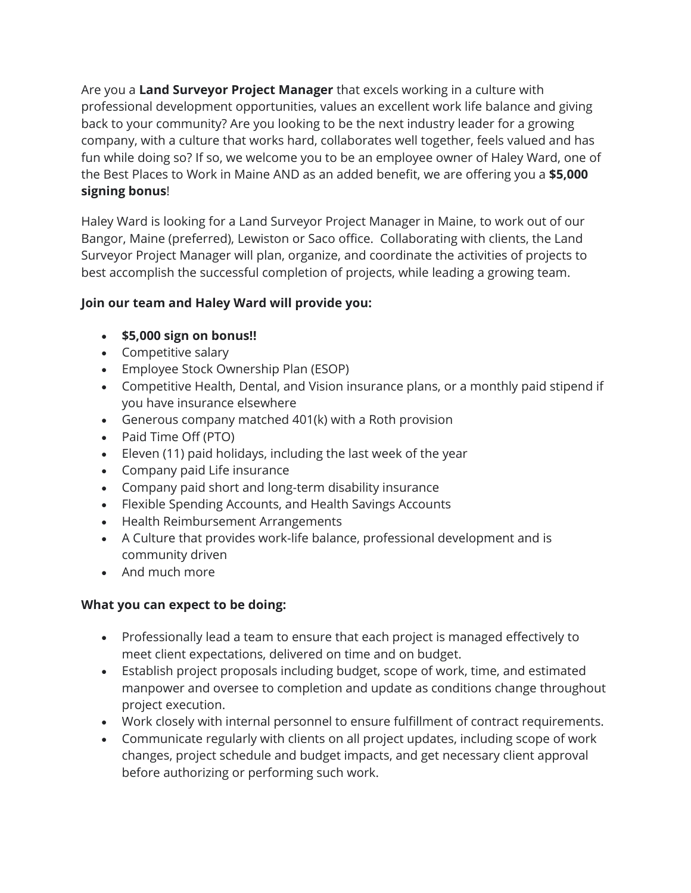Are you a **Land Surveyor Project Manager** that excels working in a culture with professional development opportunities, values an excellent work life balance and giving back to your community? Are you looking to be the next industry leader for a growing company, with a culture that works hard, collaborates well together, feels valued and has fun while doing so? If so, we welcome you to be an employee owner of Haley Ward, one of the Best Places to Work in Maine AND as an added benefit, we are offering you a **\$5,000 signing bonus**!

Haley Ward is looking for a Land Surveyor Project Manager in Maine, to work out of our Bangor, Maine (preferred), Lewiston or Saco office. Collaborating with clients, the Land Surveyor Project Manager will plan, organize, and coordinate the activities of projects to best accomplish the successful completion of projects, while leading a growing team.

## **Join our team and Haley Ward will provide you:**

- **\$5,000 sign on bonus!!**
- Competitive salary
- Employee Stock Ownership Plan (ESOP)
- Competitive Health, Dental, and Vision insurance plans, or a monthly paid stipend if you have insurance elsewhere
- Generous company matched 401(k) with a Roth provision
- Paid Time Off (PTO)
- Eleven (11) paid holidays, including the last week of the year
- Company paid Life insurance
- Company paid short and long-term disability insurance
- Flexible Spending Accounts, and Health Savings Accounts
- Health Reimbursement Arrangements
- A Culture that provides work-life balance, professional development and is community driven
- And much more

## **What you can expect to be doing:**

- Professionally lead a team to ensure that each project is managed effectively to meet client expectations, delivered on time and on budget.
- Establish project proposals including budget, scope of work, time, and estimated manpower and oversee to completion and update as conditions change throughout project execution.
- Work closely with internal personnel to ensure fulfillment of contract requirements.
- Communicate regularly with clients on all project updates, including scope of work changes, project schedule and budget impacts, and get necessary client approval before authorizing or performing such work.